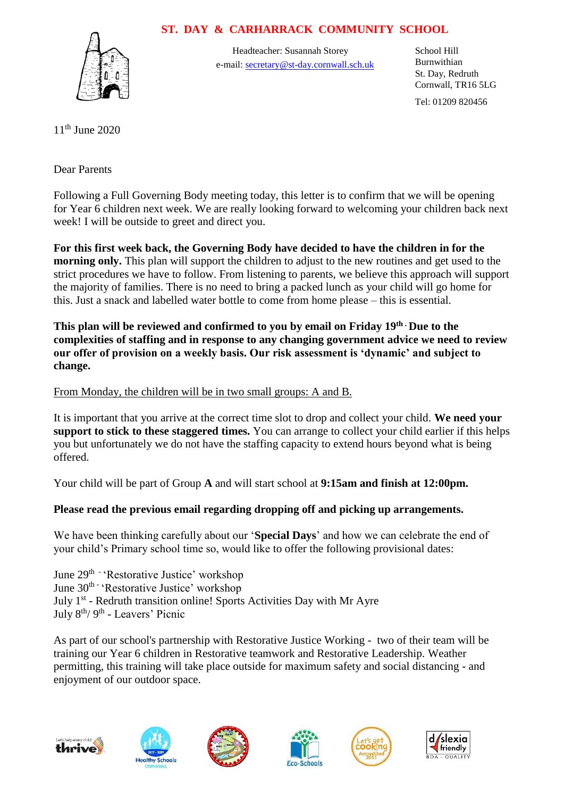## **ST. DAY & CARHARRACK COMMUNITY SCHOOL**



Headteacher: Susannah Storey School Hill e-mail: secretary@st-day.cornwall.sch.uk

Burnwithian St. Day, Redruth Cornwall, TR16 5LG

Tel: 01209 820456

11th June 2020

Dear Parents

Following a Full Governing Body meeting today, this letter is to confirm that we will be opening for Year 6 children next week. We are really looking forward to welcoming your children back next week! I will be outside to greet and direct you.

**For this first week back, the Governing Body have decided to have the children in for the morning only.** This plan will support the children to adjust to the new routines and get used to the strict procedures we have to follow. From listening to parents, we believe this approach will support the majority of families. There is no need to bring a packed lunch as your child will go home for this. Just a snack and labelled water bottle to come from home please – this is essential.

**This plan will be reviewed and confirmed to you by email on Friday 19th . Due to the complexities of staffing and in response to any changing government advice we need to review our offer of provision on a weekly basis. Our risk assessment is 'dynamic' and subject to change.** 

## From Monday, the children will be in two small groups: A and B.

It is important that you arrive at the correct time slot to drop and collect your child. **We need your support to stick to these staggered times.** You can arrange to collect your child earlier if this helps you but unfortunately we do not have the staffing capacity to extend hours beyond what is being offered.

Your child will be part of Group **A** and will start school at **9:15am and finish at 12:00pm.** 

## **Please read the previous email regarding dropping off and picking up arrangements.**

We have been thinking carefully about our '**Special Days**' and how we can celebrate the end of your child's Primary school time so, would like to offer the following provisional dates:

June 29<sup>th -</sup> 'Restorative Justice' workshop June 30<sup>th -</sup> 'Restorative Justice' workshop July 1<sup>st</sup> - Redruth transition online! Sports Activities Day with Mr Ayre July 8<sup>th</sup>/ 9<sup>th</sup> - Leavers' Picnic

As part of our school's partnership with Restorative Justice Working - two of their team will be training our Year 6 children in Restorative teamwork and Restorative Leadership. Weather permitting, this training will take place outside for maximum safety and social distancing - and enjoyment of our outdoor space.